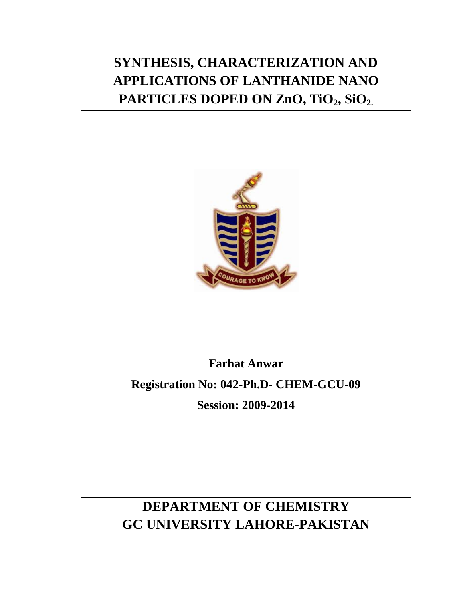# **SYNTHESIS, CHARACTERIZATION AND APPLICATIONS OF LANTHANIDE NANO PARTICLES DOPED ON ZnO, TiO2, SiO2.**



# **Farhat Anwar Registration No: 042-Ph.D- CHEM-GCU-09 Session: 2009-2014**

## **DEPARTMENT OF CHEMISTRY GC UNIVERSITY LAHORE-PAKISTAN**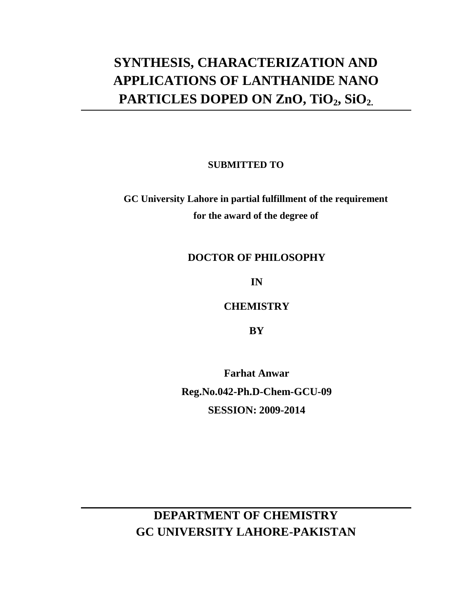## **SYNTHESIS, CHARACTERIZATION AND APPLICATIONS OF LANTHANIDE NANO PARTICLES DOPED ON ZnO, TiO2, SiO2.**

**SUBMITTED TO**

**GC University Lahore in partial fulfillment of the requirement for the award of the degree of**

#### **DOCTOR OF PHILOSOPHY**

**IN**

**CHEMISTRY**

**BY**

**Farhat Anwar Reg.No.042-Ph.D-Chem-GCU-09 SESSION: 2009-2014**

#### **DEPARTMENT OF CHEMISTRY GC UNIVERSITY LAHORE-PAKISTAN**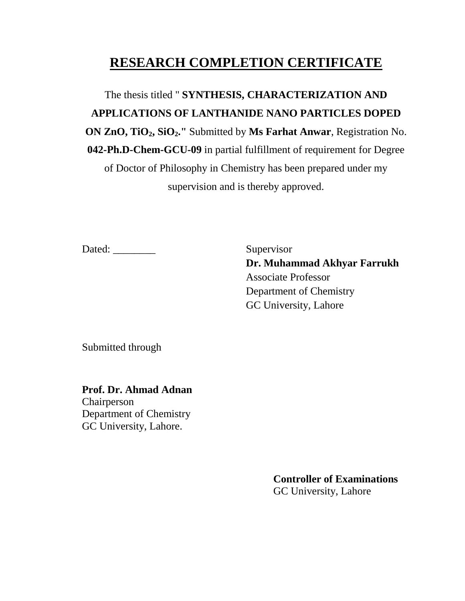#### **RESEARCH COMPLETION CERTIFICATE**

The thesis titled " **SYNTHESIS, CHARACTERIZATION AND APPLICATIONS OF LANTHANIDE NANO PARTICLES DOPED ON ZnO, TiO2, SiO2."** Submitted by **Ms Farhat Anwar**, Registration No. **042-Ph.D-Chem-GCU-09** in partial fulfillment of requirement for Degree of Doctor of Philosophy in Chemistry has been prepared under my supervision and is thereby approved.

Dated: \_\_\_\_\_\_\_\_ Supervisor

**Dr. Muhammad Akhyar Farrukh** Associate Professor Department of Chemistry GC University, Lahore

Submitted through

**Prof. Dr. Ahmad Adnan** Chairperson

Department of Chemistry GC University, Lahore.

> **Controller of Examinations** GC University, Lahore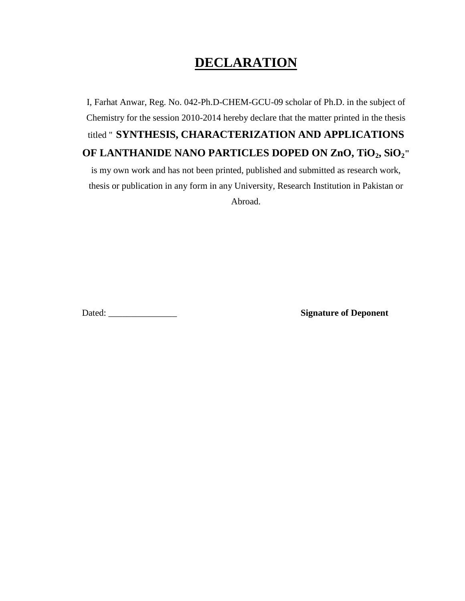#### **DECLARATION**

I, Farhat Anwar, Reg. No. 042-Ph.D-CHEM-GCU-09 scholar of Ph.D. in the subject of Chemistry for the session 2010-2014 hereby declare that the matter printed in the thesis titled " **SYNTHESIS, CHARACTERIZATION AND APPLICATIONS OF LANTHANIDE NANO PARTICLES DOPED ON ZnO, TiO2, SiO2"** 

is my own work and has not been printed, published and submitted as research work, thesis or publication in any form in any University, Research Institution in Pakistan or Abroad.

Dated: \_\_\_\_\_\_\_\_\_\_\_\_\_\_\_ **Signature of Deponent**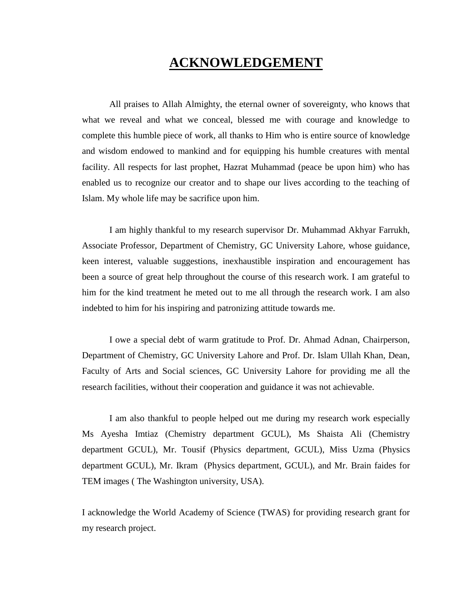#### **ACKNOWLEDGEMENT**

All praises to Allah Almighty, the eternal owner of sovereignty, who knows that what we reveal and what we conceal, blessed me with courage and knowledge to complete this humble piece of work, all thanks to Him who is entire source of knowledge and wisdom endowed to mankind and for equipping his humble creatures with mental facility. All respects for last prophet, Hazrat Muhammad (peace be upon him) who has enabled us to recognize our creator and to shape our lives according to the teaching of Islam. My whole life may be sacrifice upon him.

I am highly thankful to my research supervisor Dr. Muhammad Akhyar Farrukh, Associate Professor, Department of Chemistry, GC University Lahore, whose guidance, keen interest, valuable suggestions, inexhaustible inspiration and encouragement has been a source of great help throughout the course of this research work. I am grateful to him for the kind treatment he meted out to me all through the research work. I am also indebted to him for his inspiring and patronizing attitude towards me.

I owe a special debt of warm gratitude to Prof. Dr. Ahmad Adnan, Chairperson, Department of Chemistry, GC University Lahore and Prof. Dr. Islam Ullah Khan, Dean, Faculty of Arts and Social sciences, GC University Lahore for providing me all the research facilities, without their cooperation and guidance it was not achievable.

I am also thankful to people helped out me during my research work especially Ms Ayesha Imtiaz (Chemistry department GCUL), Ms Shaista Ali (Chemistry department GCUL), Mr. Tousif (Physics department, GCUL), Miss Uzma (Physics department GCUL), Mr. Ikram (Physics department, GCUL), and Mr. Brain faides for TEM images ( The Washington university, USA).

I acknowledge the World Academy of Science (TWAS) for providing research grant for my research project.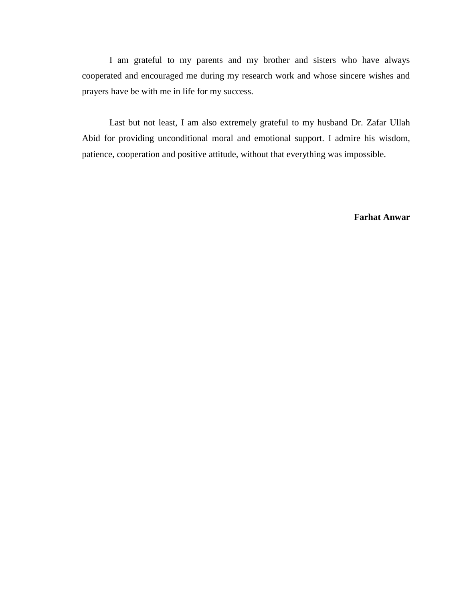I am grateful to my parents and my brother and sisters who have always cooperated and encouraged me during my research work and whose sincere wishes and prayers have be with me in life for my success.

Last but not least, I am also extremely grateful to my husband Dr. Zafar Ullah Abid for providing unconditional moral and emotional support. I admire his wisdom, patience, cooperation and positive attitude, without that everything was impossible.

**Farhat Anwar**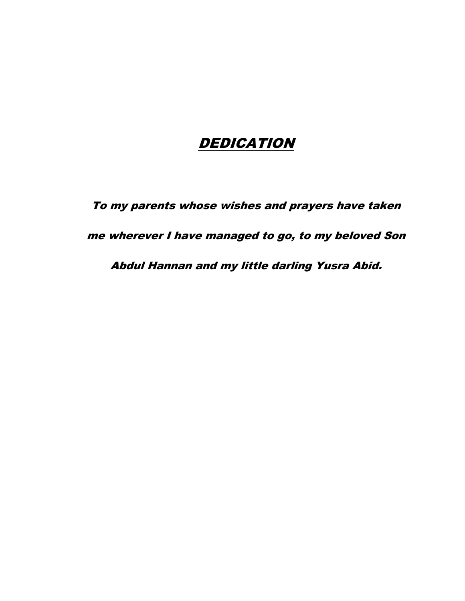#### **DEDICATION**

To my parents whose wishes and prayers have taken

me wherever I have managed to go, to my beloved Son

Abdul Hannan and my little darling Yusra Abid.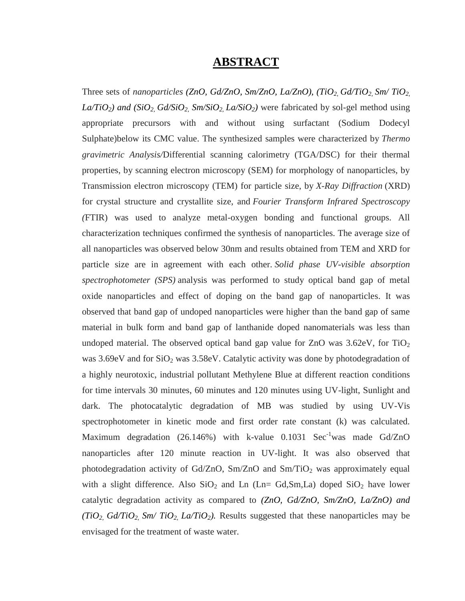#### **ABSTRACT**

Three sets of *nanoparticles (ZnO, Gd/ZnO, Sm/ZnO, La/ZnO), (TiO2, Gd/TiO2, Sm/ TiO2,*   $La/TiO_2$ *) and (SiO*<sub>2</sub>, *Gd/SiO*<sub>2</sub>, *Sm/SiO*<sub>2</sub>, *La/SiO*<sub>2</sub>*)* were fabricated by sol-gel method using appropriate precursors with and without using surfactant (Sodium Dodecyl Sulphate)below its CMC value. The synthesized samples were characterized by *Thermo gravimetric Analysis/*Differential scanning calorimetry (TGA/DSC) for their thermal properties, by scanning electron microscopy (SEM) for morphology of nanoparticles, by Transmission electron microscopy (TEM) for particle size, by *X-Ray Diffraction* (XRD) for crystal structure and crystallite size, and *Fourier Transform Infrared Spectroscopy (*FTIR) was used to analyze metal-oxygen bonding and functional groups. All characterization techniques confirmed the synthesis of nanoparticles. The average size of all nanoparticles was observed below 30nm and results obtained from TEM and XRD for particle size are in agreement with each other. *Solid phase UV-visible absorption spectrophotometer (SPS)* analysis was performed to study optical band gap of metal oxide nanoparticles and effect of doping on the band gap of nanoparticles. It was observed that band gap of undoped nanoparticles were higher than the band gap of same material in bulk form and band gap of lanthanide doped nanomaterials was less than undoped material. The observed optical band gap value for ZnO was  $3.62 \text{eV}$ , for TiO<sub>2</sub> was  $3.69 \text{eV}$  and for  $SiO<sub>2</sub>$  was  $3.58 \text{eV}$ . Catalytic activity was done by photodegradation of a highly neurotoxic, industrial pollutant Methylene Blue at different reaction conditions for time intervals 30 minutes, 60 minutes and 120 minutes using UV-light, Sunlight and dark. The photocatalytic degradation of MB was studied by using UV-Vis spectrophotometer in kinetic mode and first order rate constant (k) was calculated. Maximum degradation (26.146%) with k-value 0.1031 Sec<sup>-1</sup>was made Gd/ZnO nanoparticles after 120 minute reaction in UV-light. It was also observed that photodegradation activity of Gd/ZnO, Sm/ZnO and Sm/TiO<sub>2</sub> was approximately equal with a slight difference. Also  $SiO_2$  and Ln (Ln= Gd,Sm,La) doped  $SiO_2$  have lower catalytic degradation activity as compared to *(ZnO, Gd/ZnO, Sm/ZnO, La/ZnO) and (TiO<sub>2</sub>, Gd/TiO<sub>2</sub>, Sm/ TiO<sub>2</sub>, La/TiO<sub>2</sub>). Results suggested that these nanoparticles may be* envisaged for the treatment of waste water.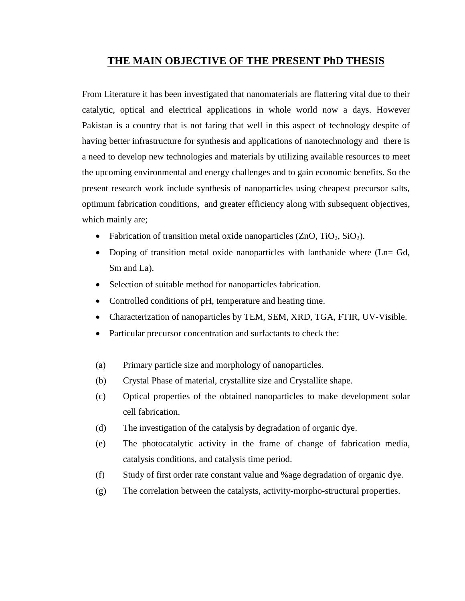#### **THE MAIN OBJECTIVE OF THE PRESENT PhD THESIS**

From Literature it has been investigated that nanomaterials are flattering vital due to their catalytic, optical and electrical applications in whole world now a days. However Pakistan is a country that is not faring that well in this aspect of technology despite of having better infrastructure for synthesis and applications of nanotechnology and there is a need to develop new technologies and materials by utilizing available resources to meet the upcoming environmental and energy challenges and to gain economic benefits. So the present research work include synthesis of nanoparticles using cheapest precursor salts, optimum fabrication conditions, and greater efficiency along with subsequent objectives, which mainly are;

- Fabrication of transition metal oxide nanoparticles  $(ZnO, TiO<sub>2</sub>, SiO<sub>2</sub>)$ .
- Doping of transition metal oxide nanoparticles with lanthanide where (Ln= Gd, Sm and La).
- Selection of suitable method for nanoparticles fabrication.
- Controlled conditions of pH, temperature and heating time.
- Characterization of nanoparticles by TEM, SEM, XRD, TGA, FTIR, UV-Visible.
- Particular precursor concentration and surfactants to check the:
- (a) Primary particle size and morphology of nanoparticles.
- (b) Crystal Phase of material, crystallite size and Crystallite shape.
- (c) Optical properties of the obtained nanoparticles to make development solar cell fabrication.
- (d) The investigation of the catalysis by degradation of organic dye.
- (e) The photocatalytic activity in the frame of change of fabrication media, catalysis conditions, and catalysis time period.
- (f) Study of first order rate constant value and %age degradation of organic dye.
- (g) The correlation between the catalysts, activity-morpho-structural properties.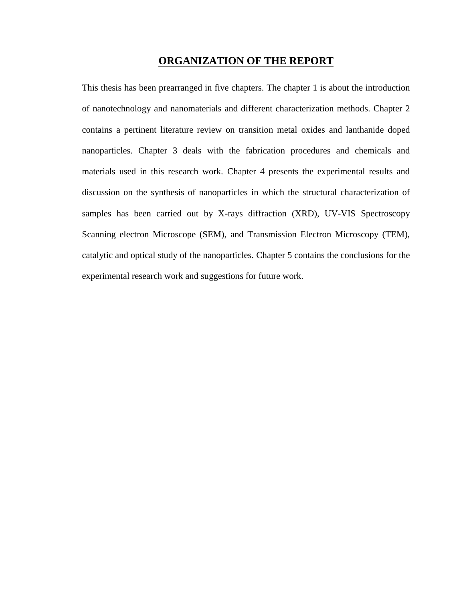#### **ORGANIZATION OF THE REPORT**

This thesis has been prearranged in five chapters. The chapter 1 is about the introduction of nanotechnology and nanomaterials and different characterization methods. Chapter 2 contains a pertinent literature review on transition metal oxides and lanthanide doped nanoparticles. Chapter 3 deals with the fabrication procedures and chemicals and materials used in this research work. Chapter 4 presents the experimental results and discussion on the synthesis of nanoparticles in which the structural characterization of samples has been carried out by X-rays diffraction (XRD), UV-VIS Spectroscopy Scanning electron Microscope (SEM), and Transmission Electron Microscopy (TEM), catalytic and optical study of the nanoparticles. Chapter 5 contains the conclusions for the experimental research work and suggestions for future work.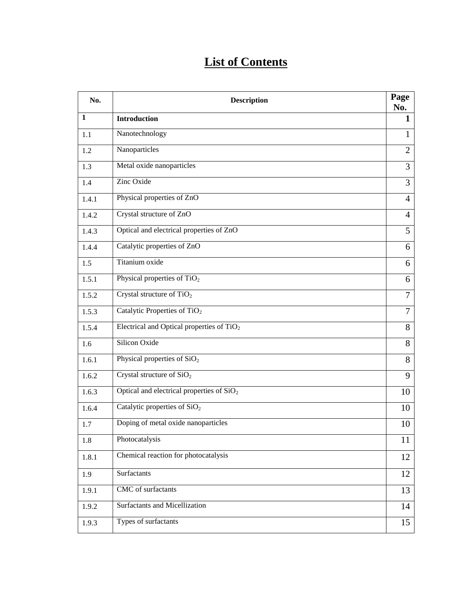#### **List of Contents**

| No.   | <b>Description</b>                          | Page<br>No.              |
|-------|---------------------------------------------|--------------------------|
| 1     | <b>Introduction</b>                         | 1                        |
| 1.1   | Nanotechnology                              | 1                        |
| 1.2   | Nanoparticles                               | $\overline{2}$           |
| 1.3   | Metal oxide nanoparticles                   | 3                        |
| 1.4   | Zinc Oxide                                  | 3                        |
| 1.4.1 | Physical properties of ZnO                  | $\overline{4}$           |
| 1.4.2 | Crystal structure of ZnO                    | 4                        |
| 1.4.3 | Optical and electrical properties of ZnO    | 5                        |
| 1.4.4 | Catalytic properties of ZnO                 | 6                        |
| 1.5   | Titanium oxide                              | 6                        |
| 1.5.1 | Physical properties of $TiO2$               | 6                        |
| 1.5.2 | Crystal structure of $TiO2$                 | 7                        |
| 1.5.3 | Catalytic Properties of TiO <sub>2</sub>    | $\overline{\mathcal{L}}$ |
| 1.5.4 | Electrical and Optical properties of $TiO2$ | 8                        |
| 1.6   | Silicon Oxide                               | 8                        |
| 1.6.1 | Physical properties of SiO <sub>2</sub>     | 8                        |
| 1.6.2 | Crystal structure of $SiO2$                 | 9                        |
| 1.6.3 | Optical and electrical properties of $SiO2$ | 10                       |
| 1.6.4 | Catalytic properties of SiO <sub>2</sub>    | 10                       |
| 1.7   | Doping of metal oxide nanoparticles         | 10                       |
| 1.8   | Photocatalysis                              | 11                       |
| 1.8.1 | Chemical reaction for photocatalysis        | 12                       |
| 1.9   | Surfactants                                 | 12                       |
| 1.9.1 | CMC of surfactants                          | 13                       |
| 1.9.2 | Surfactants and Micellization               | 14                       |
| 1.9.3 | Types of surfactants                        | 15                       |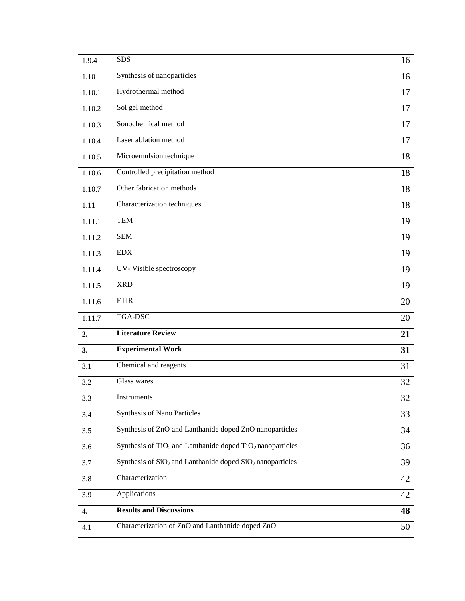| 1.9.4  | <b>SDS</b>                                                    | 16 |
|--------|---------------------------------------------------------------|----|
| 1.10   | Synthesis of nanoparticles                                    | 16 |
| 1.10.1 | Hydrothermal method                                           | 17 |
| 1.10.2 | Sol gel method                                                | 17 |
| 1.10.3 | Sonochemical method                                           | 17 |
| 1.10.4 | Laser ablation method                                         | 17 |
| 1.10.5 | Microemulsion technique                                       | 18 |
| 1.10.6 | Controlled precipitation method                               | 18 |
| 1.10.7 | Other fabrication methods                                     | 18 |
| 1.11   | Characterization techniques                                   | 18 |
| 1.11.1 | <b>TEM</b>                                                    | 19 |
| 1.11.2 | <b>SEM</b>                                                    | 19 |
| 1.11.3 | <b>EDX</b>                                                    | 19 |
| 1.11.4 | UV- Visible spectroscopy                                      | 19 |
| 1.11.5 | <b>XRD</b>                                                    | 19 |
| 1.11.6 | <b>FTIR</b>                                                   | 20 |
| 1.11.7 | TGA-DSC                                                       | 20 |
| 2.     | <b>Literature Review</b>                                      | 21 |
| 3.     | <b>Experimental Work</b>                                      | 31 |
| 3.1    | Chemical and reagents                                         | 31 |
| 3.2    | Glass wares                                                   | 32 |
| 3.3    | Instruments                                                   | 32 |
| 3.4    | <b>Synthesis of Nano Particles</b>                            | 33 |
| 3.5    | Synthesis of ZnO and Lanthanide doped ZnO nanoparticles       | 34 |
| 3.6    | Synthesis of $TiO2$ and Lanthanide doped $TiO2$ nanoparticles | 36 |
| 3.7    | Synthesis of $SiO2$ and Lanthanide doped $SiO2$ nanoparticles | 39 |
| 3.8    | Characterization                                              | 42 |
| 3.9    | Applications                                                  | 42 |
| 4.     | <b>Results and Discussions</b>                                | 48 |
| 4.1    | Characterization of ZnO and Lanthanide doped ZnO              | 50 |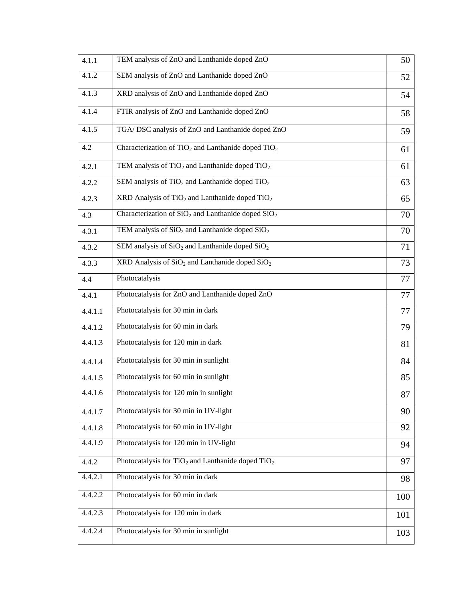| 4.1.1   | TEM analysis of ZnO and Lanthanide doped ZnO           | 50  |
|---------|--------------------------------------------------------|-----|
| 4.1.2   | SEM analysis of ZnO and Lanthanide doped ZnO           | 52  |
| 4.1.3   | XRD analysis of ZnO and Lanthanide doped ZnO           | 54  |
| 4.1.4   | FTIR analysis of ZnO and Lanthanide doped ZnO          | 58  |
| 4.1.5   | TGA/ DSC analysis of ZnO and Lanthanide doped ZnO      | 59  |
| 4.2     | Characterization of $TiO2$ and Lanthanide doped $TiO2$ | 61  |
| 4.2.1   | TEM analysis of $TiO2$ and Lanthanide doped $TiO2$     | 61  |
| 4.2.2   | SEM analysis of $TiO2$ and Lanthanide doped $TiO2$     | 63  |
| 4.2.3   | XRD Analysis of $TiO2$ and Lanthanide doped $TiO2$     | 65  |
| 4.3     | Characterization of $SiO2$ and Lanthanide doped $SiO2$ | 70  |
| 4.3.1   | TEM analysis of $SiO2$ and Lanthanide doped $SiO2$     | 70  |
| 4.3.2   | SEM analysis of $SiO2$ and Lanthanide doped $SiO2$     | 71  |
| 4.3.3   | $XRD$ Analysis of $SiO2$ and Lanthanide doped $SiO2$   | 73  |
| 4.4     | Photocatalysis                                         | 77  |
| 4.4.1   | Photocatalysis for ZnO and Lanthanide doped ZnO        | 77  |
| 4.4.1.1 | Photocatalysis for 30 min in dark                      | 77  |
| 4.4.1.2 | Photocatalysis for 60 min in dark                      | 79  |
| 4.4.1.3 | Photocatalysis for 120 min in dark                     | 81  |
| 4.4.1.4 | Photocatalysis for 30 min in sunlight                  | 84  |
| 4.4.1.5 | Photocatalysis for 60 min in sunlight                  | 85  |
| 4.4.1.6 | Photocatalysis for 120 min in sunlight                 | 87  |
| 4.4.1.7 | Photocatalysis for 30 min in UV-light                  | 90  |
| 4.4.1.8 | Photocatalysis for 60 min in UV-light                  | 92  |
| 4.4.1.9 | Photocatalysis for 120 min in UV-light                 | 94  |
| 4.4.2   | Photocatalysis for $TiO2$ and Lanthanide doped $TiO2$  | 97  |
| 4.4.2.1 | Photocatalysis for 30 min in dark                      | 98  |
| 4.4.2.2 | Photocatalysis for 60 min in dark                      | 100 |
| 4.4.2.3 | Photocatalysis for 120 min in dark                     | 101 |
| 4.4.2.4 | Photocatalysis for 30 min in sunlight                  | 103 |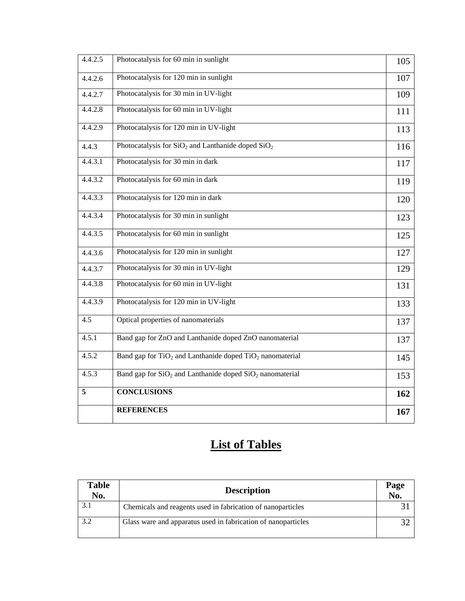| 4.4.2.5 | Photocatalysis for 60 min in sunlight                        | 105 |
|---------|--------------------------------------------------------------|-----|
| 4.4.2.6 | Photocatalysis for 120 min in sunlight                       | 107 |
| 4.4.2.7 | Photocatalysis for 30 min in UV-light                        | 109 |
| 4.4.2.8 | Photocatalysis for 60 min in UV-light                        | 111 |
| 4.4.2.9 | Photocatalysis for 120 min in UV-light                       | 113 |
| 4.4.3   | Photocatalysis for $SiO2$ and Lanthanide doped $SiO2$        | 116 |
| 4.4.3.1 | Photocatalysis for 30 min in dark                            | 117 |
| 4.4.3.2 | Photocatalysis for 60 min in dark                            | 119 |
| 4.4.3.3 | Photocatalysis for 120 min in dark                           | 120 |
| 4.4.3.4 | Photocatalysis for 30 min in sunlight                        | 123 |
| 4.4.3.5 | Photocatalysis for 60 min in sunlight                        | 125 |
| 4.4.3.6 | Photocatalysis for 120 min in sunlight                       | 127 |
| 4.4.3.7 | Photocatalysis for 30 min in UV-light                        | 129 |
| 4.4.3.8 | Photocatalysis for 60 min in UV-light                        | 131 |
| 4.4.3.9 | Photocatalysis for 120 min in UV-light                       | 133 |
| 4.5     | Optical properties of nanomaterials                          | 137 |
| 4.5.1   | Band gap for ZnO and Lanthanide doped ZnO nanomaterial       | 137 |
| 4.5.2   | Band gap for $TiO2$ and Lanthanide doped $TiO2$ nanomaterial | 145 |
| 4.5.3   | Band gap for $SiO2$ and Lanthanide doped $SiO2$ nanomaterial | 153 |
| 5       | <b>CONCLUSIONS</b>                                           | 162 |
|         | <b>REFERENCES</b>                                            | 167 |

## **List of Tables**

| <b>Table</b><br>No. | <b>Description</b>                                            | Page<br>No. |
|---------------------|---------------------------------------------------------------|-------------|
|                     | Chemicals and reagents used in fabrication of nanoparticles   |             |
| 3.2                 | Glass ware and apparatus used in fabrication of nanoparticles |             |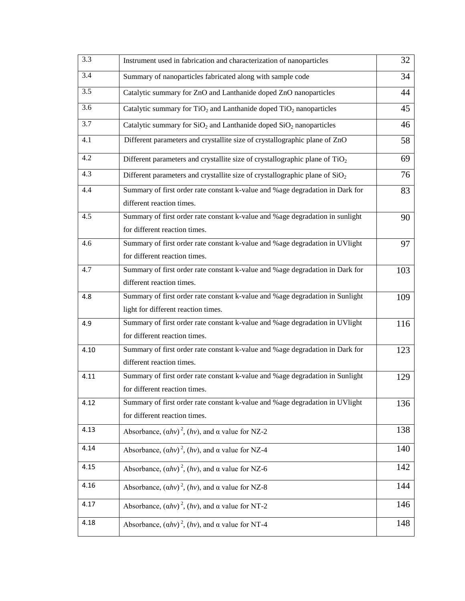| 3.3  | Instrument used in fabrication and characterization of nanoparticles                                                 | 32  |
|------|----------------------------------------------------------------------------------------------------------------------|-----|
| 3.4  | Summary of nanoparticles fabricated along with sample code                                                           | 34  |
| 3.5  | Catalytic summary for ZnO and Lanthanide doped ZnO nanoparticles                                                     | 44  |
| 3.6  | Catalytic summary for TiO <sub>2</sub> and Lanthanide doped TiO <sub>2</sub> nanoparticles                           | 45  |
| 3.7  | Catalytic summary for $SiO2$ and Lanthanide doped $SiO2$ nanoparticles                                               | 46  |
| 4.1  | Different parameters and crystallite size of crystallographic plane of ZnO                                           | 58  |
| 4.2  | Different parameters and crystallite size of crystallographic plane of $TiO2$                                        | 69  |
| 4.3  | Different parameters and crystallite size of crystallographic plane of $SiO2$                                        | 76  |
| 4.4  | Summary of first order rate constant k-value and %age degradation in Dark for<br>different reaction times.           | 83  |
| 4.5  | Summary of first order rate constant k-value and %age degradation in sunlight<br>for different reaction times.       | 90  |
| 4.6  | Summary of first order rate constant k-value and %age degradation in UVlight<br>for different reaction times.        | 97  |
| 4.7  | Summary of first order rate constant k-value and %age degradation in Dark for<br>different reaction times.           | 103 |
| 4.8  | Summary of first order rate constant k-value and %age degradation in Sunlight<br>light for different reaction times. | 109 |
| 4.9  | Summary of first order rate constant k-value and %age degradation in UVlight<br>for different reaction times.        | 116 |
| 4.10 | Summary of first order rate constant k-value and %age degradation in Dark for<br>different reaction times.           | 123 |
| 4.11 | Summary of first order rate constant k-value and %age degradation in Sunlight<br>for different reaction times.       | 129 |
| 4.12 | Summary of first order rate constant k-value and %age degradation in UVlight<br>for different reaction times.        | 136 |
| 4.13 | Absorbance, $(ahv)^2$ , $(hv)$ , and $\alpha$ value for NZ-2                                                         | 138 |
| 4.14 | Absorbance, $(ahv)^2$ , $(hv)$ , and $\alpha$ value for NZ-4                                                         | 140 |
| 4.15 | Absorbance, $(ahv)^2$ , $(hv)$ , and $\alpha$ value for NZ-6                                                         | 142 |
| 4.16 | Absorbance, $(ahv)^2$ , $(hv)$ , and $\alpha$ value for NZ-8                                                         | 144 |
| 4.17 | Absorbance, $(ahv)^2$ , $(hv)$ , and $\alpha$ value for NT-2                                                         | 146 |
| 4.18 | Absorbance, $(ahv)^2$ , $(hv)$ , and $\alpha$ value for NT-4                                                         | 148 |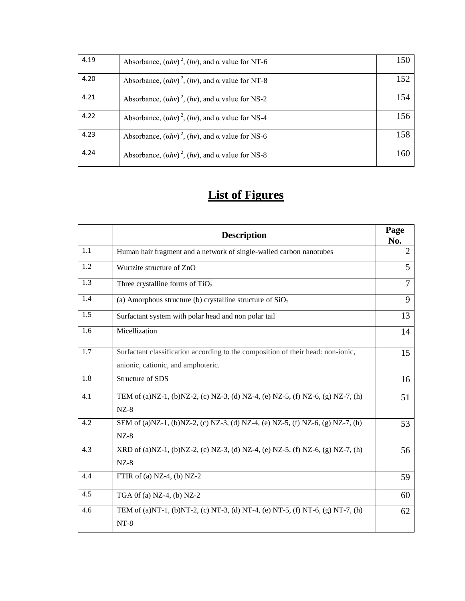| 4.19 | Absorbance, $(ahv)^2$ , $(hv)$ , and $\alpha$ value for NT-6 | 150 |
|------|--------------------------------------------------------------|-----|
| 4.20 | Absorbance, $(ahv)^2$ , $(hv)$ , and $\alpha$ value for NT-8 | 152 |
| 4.21 | Absorbance, $(ahv)^2$ , $(hv)$ , and $\alpha$ value for NS-2 | 154 |
| 4.22 | Absorbance, $(ahv)^2$ , $(hv)$ , and $\alpha$ value for NS-4 | 156 |
| 4.23 | Absorbance, $(ahv)^2$ , $(hv)$ , and $\alpha$ value for NS-6 | 158 |
| 4.24 | Absorbance, $(ahv)^2$ , $(hv)$ , and $\alpha$ value for NS-8 | 160 |

#### **List of Figures**

|                  | <b>Description</b>                                                                                                     | Page<br>No.    |
|------------------|------------------------------------------------------------------------------------------------------------------------|----------------|
| 1.1              | Human hair fragment and a network of single-walled carbon nanotubes                                                    | $\overline{2}$ |
| 1.2              | Wurtzite structure of ZnO                                                                                              | 5              |
| 1.3              | Three crystalline forms of $TiO2$                                                                                      | 7              |
| 1.4              | (a) Amorphous structure (b) crystalline structure of $SiO2$                                                            | 9              |
| 1.5              | Surfactant system with polar head and non polar tail                                                                   | 13             |
| $\overline{1.6}$ | Micellization                                                                                                          | 14             |
| 1.7              | Surfactant classification according to the composition of their head: non-ionic,<br>anionic, cationic, and amphoteric. | 15             |
| 1.8              | Structure of SDS                                                                                                       | 16             |
| 4.1              | TEM of (a)NZ-1, (b)NZ-2, (c) NZ-3, (d) NZ-4, (e) NZ-5, (f) NZ-6, (g) NZ-7, (h)<br>$NZ-8$                               | 51             |
| 4.2              | SEM of (a)NZ-1, (b)NZ-2, (c) NZ-3, (d) NZ-4, (e) NZ-5, (f) NZ-6, (g) NZ-7, (h)<br>$NZ-8$                               | 53             |
| 4.3              | XRD of (a)NZ-1, (b)NZ-2, (c) NZ-3, (d) NZ-4, (e) NZ-5, (f) NZ-6, (g) NZ-7, (h)<br>$NZ-8$                               | 56             |
| 4.4              | FTIR of (a) NZ-4, (b) NZ-2                                                                                             | 59             |
| 4.5              | TGA $0f(a)$ NZ-4, $(b)$ NZ-2                                                                                           | 60             |
| 4.6              | TEM of (a)NT-1, (b)NT-2, (c) NT-3, (d) NT-4, (e) NT-5, (f) NT-6, (g) NT-7, (h)<br>$NT-8$                               | 62             |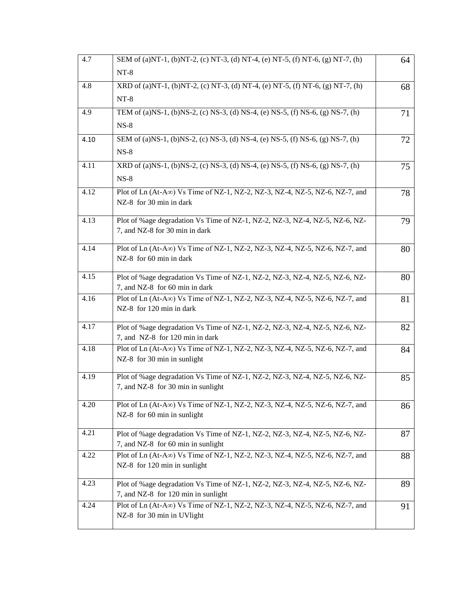| 4.7  | SEM of (a)NT-1, (b)NT-2, (c) NT-3, (d) NT-4, (e) NT-5, (f) NT-6, (g) NT-7, (h)                                       | 64 |
|------|----------------------------------------------------------------------------------------------------------------------|----|
|      | $NT-8$                                                                                                               |    |
| 4.8  | XRD of (a)NT-1, (b)NT-2, (c) NT-3, (d) NT-4, (e) NT-5, (f) NT-6, (g) NT-7, (h)                                       | 68 |
|      | $NT-8$                                                                                                               |    |
| 4.9  | TEM of (a)NS-1, (b)NS-2, (c) NS-3, (d) NS-4, (e) NS-5, (f) NS-6, (g) NS-7, (h)                                       | 71 |
|      | $NS-8$                                                                                                               |    |
| 4.10 | SEM of (a)NS-1, (b)NS-2, (c) NS-3, (d) NS-4, (e) NS-5, (f) NS-6, (g) NS-7, (h)                                       | 72 |
|      | $NS-8$                                                                                                               |    |
| 4.11 | XRD of (a)NS-1, (b)NS-2, (c) NS-3, (d) NS-4, (e) NS-5, (f) NS-6, $(g)$ NS-7, (h)                                     | 75 |
|      | $NS-8$                                                                                                               |    |
| 4.12 | Plot of Ln (At-A∞) Vs Time of NZ-1, NZ-2, NZ-3, NZ-4, NZ-5, NZ-6, NZ-7, and                                          | 78 |
|      | NZ-8 for 30 min in dark                                                                                              |    |
| 4.13 | Plot of %age degradation Vs Time of NZ-1, NZ-2, NZ-3, NZ-4, NZ-5, NZ-6, NZ-                                          | 79 |
|      | 7, and NZ-8 for 30 min in dark                                                                                       |    |
| 4.14 | Plot of Ln (At-A $\infty$ ) Vs Time of NZ-1, NZ-2, NZ-3, NZ-4, NZ-5, NZ-6, NZ-7, and                                 | 80 |
|      | NZ-8 for 60 min in dark                                                                                              |    |
| 4.15 | Plot of %age degradation Vs Time of NZ-1, NZ-2, NZ-3, NZ-4, NZ-5, NZ-6, NZ-                                          | 80 |
|      | 7, and NZ-8 for 60 min in dark                                                                                       |    |
| 4.16 | Plot of Ln (At-A $\infty$ ) Vs Time of NZ-1, NZ-2, NZ-3, NZ-4, NZ-5, NZ-6, NZ-7, and                                 | 81 |
|      | NZ-8 for 120 min in dark                                                                                             |    |
| 4.17 | Plot of %age degradation Vs Time of NZ-1, NZ-2, NZ-3, NZ-4, NZ-5, NZ-6, NZ-                                          | 82 |
|      | 7, and NZ-8 for 120 min in dark                                                                                      |    |
| 4.18 | Plot of Ln (At-A $\infty$ ) Vs Time of NZ-1, NZ-2, NZ-3, NZ-4, NZ-5, NZ-6, NZ-7, and<br>NZ-8 for 30 min in sunlight  | 84 |
|      |                                                                                                                      |    |
| 4.19 | Plot of %age degradation Vs Time of NZ-1, NZ-2, NZ-3, NZ-4, NZ-5, NZ-6, NZ-                                          | 85 |
|      | 7, and NZ-8 for 30 min in sunlight                                                                                   |    |
| 4.20 | Plot of Ln $(At-A\infty)$ Vs Time of NZ-1, NZ-2, NZ-3, NZ-4, NZ-5, NZ-6, NZ-7, and                                   | 86 |
|      | NZ-8 for 60 min in sunlight                                                                                          |    |
| 4.21 | Plot of %age degradation Vs Time of NZ-1, NZ-2, NZ-3, NZ-4, NZ-5, NZ-6, NZ-                                          | 87 |
|      | 7, and NZ-8 for 60 min in sunlight                                                                                   |    |
| 4.22 | Plot of Ln (At-A $\infty$ ) Vs Time of NZ-1, NZ-2, NZ-3, NZ-4, NZ-5, NZ-6, NZ-7, and<br>NZ-8 for 120 min in sunlight | 88 |
|      |                                                                                                                      |    |
| 4.23 | Plot of %age degradation Vs Time of NZ-1, NZ-2, NZ-3, NZ-4, NZ-5, NZ-6, NZ-                                          | 89 |
|      | 7, and NZ-8 for 120 min in sunlight                                                                                  |    |
| 4.24 | Plot of Ln (At-A $\infty$ ) Vs Time of NZ-1, NZ-2, NZ-3, NZ-4, NZ-5, NZ-6, NZ-7, and<br>NZ-8 for 30 min in UVlight   | 91 |
|      |                                                                                                                      |    |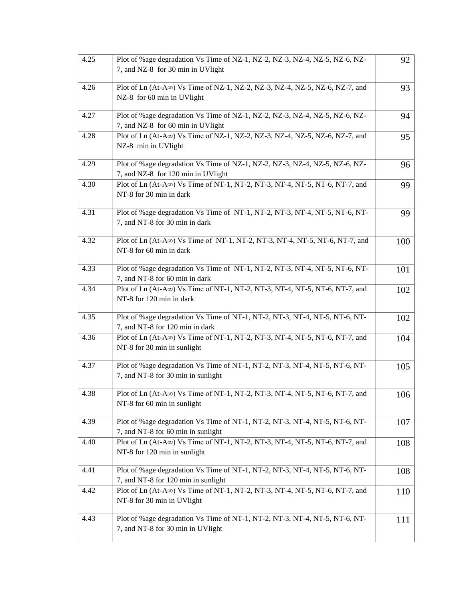| 4.25 | Plot of %age degradation Vs Time of NZ-1, NZ-2, NZ-3, NZ-4, NZ-5, NZ-6, NZ-<br>7, and NZ-8 for 30 min in UVlight    | 92  |
|------|---------------------------------------------------------------------------------------------------------------------|-----|
| 4.26 | Plot of Ln (At-A $\infty$ ) Vs Time of NZ-1, NZ-2, NZ-3, NZ-4, NZ-5, NZ-6, NZ-7, and<br>NZ-8 for 60 min in UVlight  | 93  |
| 4.27 | Plot of %age degradation Vs Time of NZ-1, NZ-2, NZ-3, NZ-4, NZ-5, NZ-6, NZ-<br>7, and NZ-8 for 60 min in UVlight    | 94  |
| 4.28 | Plot of Ln (At-A $\infty$ ) Vs Time of NZ-1, NZ-2, NZ-3, NZ-4, NZ-5, NZ-6, NZ-7, and<br>NZ-8 min in UVlight         | 95  |
| 4.29 | Plot of %age degradation Vs Time of NZ-1, NZ-2, NZ-3, NZ-4, NZ-5, NZ-6, NZ-<br>7, and NZ-8 for 120 min in UVlight   | 96  |
| 4.30 | Plot of Ln (At-A $\infty$ ) Vs Time of NT-1, NT-2, NT-3, NT-4, NT-5, NT-6, NT-7, and<br>NT-8 for 30 min in dark     | 99  |
| 4.31 | Plot of %age degradation Vs Time of NT-1, NT-2, NT-3, NT-4, NT-5, NT-6, NT-<br>7, and NT-8 for 30 min in dark       | 99  |
| 4.32 | Plot of Ln (At-A $\infty$ ) Vs Time of NT-1, NT-2, NT-3, NT-4, NT-5, NT-6, NT-7, and<br>NT-8 for 60 min in dark     | 100 |
| 4.33 | Plot of %age degradation Vs Time of NT-1, NT-2, NT-3, NT-4, NT-5, NT-6, NT-<br>7, and NT-8 for 60 min in dark       | 101 |
| 4.34 | Plot of Ln (At-A $\infty$ ) Vs Time of NT-1, NT-2, NT-3, NT-4, NT-5, NT-6, NT-7, and<br>NT-8 for 120 min in dark    | 102 |
| 4.35 | Plot of %age degradation Vs Time of NT-1, NT-2, NT-3, NT-4, NT-5, NT-6, NT-<br>7, and NT-8 for 120 min in dark      | 102 |
| 4.36 | Plot of Ln (At-A $\infty$ ) Vs Time of NT-1, NT-2, NT-3, NT-4, NT-5, NT-6, NT-7, and<br>NT-8 for 30 min in sunlight | 104 |
| 4.37 | Plot of % age degradation Vs Time of NT-1, NT-2, NT-3, NT-4, NT-5, NT-6, NT-<br>7, and NT-8 for 30 min in sunlight  | 105 |
| 4.38 | Plot of Ln (At-A $\infty$ ) Vs Time of NT-1, NT-2, NT-3, NT-4, NT-5, NT-6, NT-7, and<br>NT-8 for 60 min in sunlight | 106 |
| 4.39 | Plot of % age degradation Vs Time of NT-1, NT-2, NT-3, NT-4, NT-5, NT-6, NT-<br>7, and NT-8 for 60 min in sunlight  | 107 |
| 4.40 | Plot of Ln $(At-A\infty)$ Vs Time of NT-1, NT-2, NT-3, NT-4, NT-5, NT-6, NT-7, and<br>NT-8 for 120 min in sunlight  | 108 |
| 4.41 | Plot of %age degradation Vs Time of NT-1, NT-2, NT-3, NT-4, NT-5, NT-6, NT-<br>7, and NT-8 for 120 min in sunlight  | 108 |
| 4.42 | Plot of Ln $(At-A\infty)$ Vs Time of NT-1, NT-2, NT-3, NT-4, NT-5, NT-6, NT-7, and<br>NT-8 for 30 min in UVlight    | 110 |
| 4.43 | Plot of %age degradation Vs Time of NT-1, NT-2, NT-3, NT-4, NT-5, NT-6, NT-<br>7, and NT-8 for 30 min in UVlight    | 111 |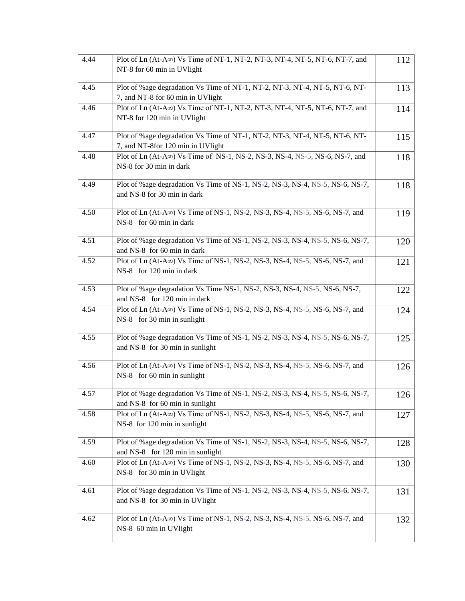| 4.44 | Plot of Ln (At-A $\infty$ ) Vs Time of NT-1, NT-2, NT-3, NT-4, NT-5, NT-6, NT-7, and                                | 112 |
|------|---------------------------------------------------------------------------------------------------------------------|-----|
|      | NT-8 for 60 min in UVlight                                                                                          |     |
| 4.45 | Plot of %age degradation Vs Time of NT-1, NT-2, NT-3, NT-4, NT-5, NT-6, NT-<br>7, and NT-8 for 60 min in UVlight    | 113 |
| 4.46 | Plot of Ln (At-A $\infty$ ) Vs Time of NT-1, NT-2, NT-3, NT-4, NT-5, NT-6, NT-7, and<br>NT-8 for 120 min in UVlight | 114 |
| 4.47 | Plot of %age degradation Vs Time of NT-1, NT-2, NT-3, NT-4, NT-5, NT-6, NT-<br>7, and NT-8for 120 min in UVlight    | 115 |
| 4.48 | Plot of Ln $(At-A\infty)$ Vs Time of NS-1, NS-2, NS-3, NS-4, NS-5, NS-6, NS-7, and<br>NS-8 for 30 min in dark       | 118 |
| 4.49 | Plot of %age degradation Vs Time of NS-1, NS-2, NS-3, NS-4, NS-5, NS-6, NS-7,<br>and NS-8 for 30 min in dark        | 118 |
| 4.50 | Plot of Ln $(At-A\infty)$ Vs Time of NS-1, NS-2, NS-3, NS-4, NS-5, NS-6, NS-7, and<br>NS-8 for 60 min in dark       | 119 |
| 4.51 | Plot of %age degradation Vs Time of NS-1, NS-2, NS-3, NS-4, NS-5, NS-6, NS-7,<br>and NS-8 for 60 min in dark        | 120 |
| 4.52 | Plot of Ln $(At-A\infty)$ Vs Time of NS-1, NS-2, NS-3, NS-4, NS-5, NS-6, NS-7, and<br>NS-8 for 120 min in dark      | 121 |
| 4.53 | Plot of %age degradation Vs Time NS-1, NS-2, NS-3, NS-4, NS-5, NS-6, NS-7,<br>and NS-8 for 120 min in dark          | 122 |
| 4.54 | Plot of Ln $(At-A\infty)$ Vs Time of NS-1, NS-2, NS-3, NS-4, NS-5, NS-6, NS-7, and<br>NS-8 for 30 min in sunlight   | 124 |
| 4.55 | Plot of %age degradation Vs Time of NS-1, NS-2, NS-3, NS-4, NS-5, NS-6, NS-7,<br>and NS-8 for 30 min in sunlight    | 125 |
| 4.56 | Plot of Ln $(At-A\infty)$ Vs Time of NS-1, NS-2, NS-3, NS-4, NS-5, NS-6, NS-7, and<br>NS-8 for 60 min in sunlight   | 126 |
| 4.57 | Plot of %age degradation Vs Time of NS-1, NS-2, NS-3, NS-4, NS-5, NS-6, NS-7,<br>and NS-8 for 60 min in sunlight    | 126 |
| 4.58 | Plot of Ln $(At-A\infty)$ Vs Time of NS-1, NS-2, NS-3, NS-4, NS-5, NS-6, NS-7, and<br>NS-8 for 120 min in sunlight  | 127 |
| 4.59 | Plot of %age degradation Vs Time of NS-1, NS-2, NS-3, NS-4, NS-5, NS-6, NS-7,<br>and NS-8 for 120 min in sunlight   | 128 |
| 4.60 | Plot of Ln $(At-A\infty)$ Vs Time of NS-1, NS-2, NS-3, NS-4, NS-5, NS-6, NS-7, and<br>NS-8 for 30 min in UVlight    | 130 |
| 4.61 | Plot of %age degradation Vs Time of NS-1, NS-2, NS-3, NS-4, NS-5, NS-6, NS-7,<br>and NS-8 for 30 min in UVlight     | 131 |
| 4.62 | Plot of Ln $(At-A\infty)$ Vs Time of NS-1, NS-2, NS-3, NS-4, NS-5, NS-6, NS-7, and<br>NS-8 60 min in UVlight        | 132 |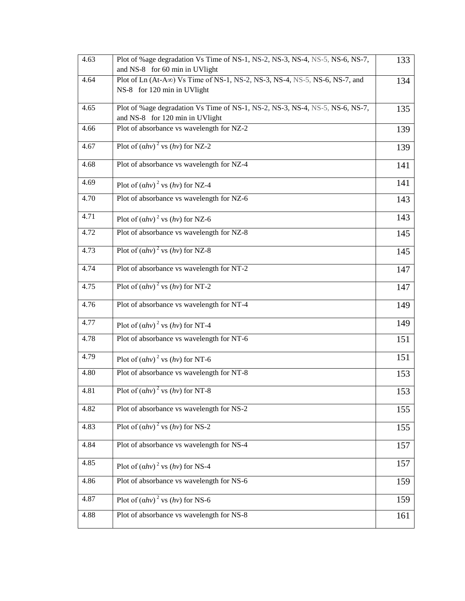| 4.63 | Plot of %age degradation Vs Time of NS-1, NS-2, NS-3, NS-4, NS-5, NS-6, NS-7,<br>and NS-8 for 60 min in UVlight   | 133 |
|------|-------------------------------------------------------------------------------------------------------------------|-----|
| 4.64 | Plot of Ln $(At-A\infty)$ Vs Time of NS-1, NS-2, NS-3, NS-4, NS-5, NS-6, NS-7, and<br>NS-8 for 120 min in UVlight | 134 |
| 4.65 | Plot of %age degradation Vs Time of NS-1, NS-2, NS-3, NS-4, NS-5, NS-6, NS-7,<br>and NS-8 for 120 min in UVlight  | 135 |
| 4.66 | Plot of absorbance vs wavelength for NZ-2                                                                         | 139 |
| 4.67 | Plot of $\overline{(ahv)^2}$ vs $(hv)$ for NZ-2                                                                   | 139 |
| 4.68 | Plot of absorbance vs wavelength for NZ-4                                                                         | 141 |
| 4.69 | Plot of $(ahv)^2$ vs $(hv)$ for NZ-4                                                                              | 141 |
| 4.70 | Plot of absorbance vs wavelength for NZ-6                                                                         | 143 |
| 4.71 | Plot of $(ahv)^2$ vs $(hv)$ for NZ-6                                                                              | 143 |
| 4.72 | Plot of absorbance vs wavelength for NZ-8                                                                         | 145 |
| 4.73 | Plot of $(ahv)^2$ vs $(hv)$ for NZ-8                                                                              | 145 |
| 4.74 | Plot of absorbance vs wavelength for NT-2                                                                         | 147 |
| 4.75 | Plot of $\overline{(ahv)^2}$ vs $(hv)$ for NT-2                                                                   | 147 |
| 4.76 | Plot of absorbance vs wavelength for NT-4                                                                         | 149 |
| 4.77 | Plot of $(ahv)^2$ vs $(hv)$ for NT-4                                                                              | 149 |
| 4.78 | Plot of absorbance vs wavelength for NT-6                                                                         | 151 |
| 4.79 | Plot of $(ahv)^2$ vs $(hv)$ for NT-6                                                                              | 151 |
| 4.80 | Plot of absorbance vs wavelength for NT-8                                                                         | 153 |
| 4.81 | Plot of $(ahv)^2$ vs $(hv)$ for NT-8                                                                              | 153 |
| 4.82 | Plot of absorbance vs wavelength for NS-2                                                                         | 155 |
| 4.83 | Plot of $(ahv)^2$ vs $(hv)$ for NS-2                                                                              | 155 |
| 4.84 | Plot of absorbance vs wavelength for NS-4                                                                         | 157 |
| 4.85 | Plot of $(ahv)^2$ vs $(hv)$ for NS-4                                                                              | 157 |
| 4.86 | Plot of absorbance vs wavelength for NS-6                                                                         | 159 |
| 4.87 | Plot of $(ahv)^2$ vs $(hv)$ for NS-6                                                                              | 159 |
| 4.88 | Plot of absorbance vs wavelength for NS-8                                                                         | 161 |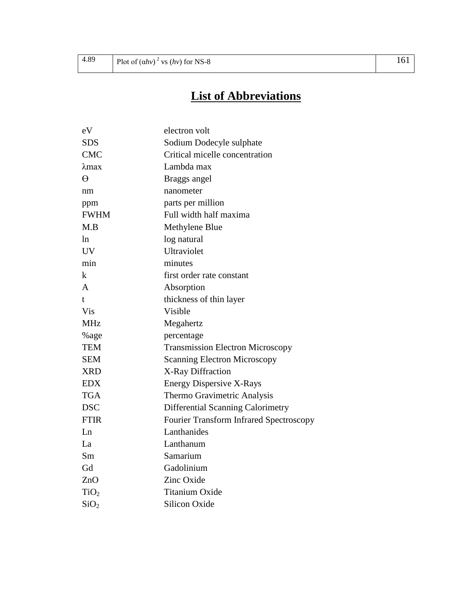## **List of Abbreviations**

| eV               | electron volt                                  |
|------------------|------------------------------------------------|
| <b>SDS</b>       | Sodium Dodecyle sulphate                       |
| <b>CMC</b>       | Critical micelle concentration                 |
| λmax             | Lambda max                                     |
| $\Theta$         | Braggs angel                                   |
| nm               | nanometer                                      |
| ppm              | parts per million                              |
| <b>FWHM</b>      | Full width half maxima                         |
| M.B              | Methylene Blue                                 |
| ln.              | log natural                                    |
| <b>UV</b>        | Ultraviolet                                    |
| min              | minutes                                        |
| k                | first order rate constant                      |
| A                | Absorption                                     |
| t.               | thickness of thin layer                        |
| Vis              | Visible                                        |
| <b>MHz</b>       | Megahertz                                      |
| %age             | percentage                                     |
| <b>TEM</b>       | <b>Transmission Electron Microscopy</b>        |
| <b>SEM</b>       | <b>Scanning Electron Microscopy</b>            |
| <b>XRD</b>       | X-Ray Diffraction                              |
| <b>EDX</b>       | <b>Energy Dispersive X-Rays</b>                |
| <b>TGA</b>       | Thermo Gravimetric Analysis                    |
| <b>DSC</b>       | Differential Scanning Calorimetry              |
| <b>FTIR</b>      | <b>Fourier Transform Infrared Spectroscopy</b> |
| Ln               | Lanthanides                                    |
| La               | Lanthanum                                      |
| Sm               | Samarium                                       |
| Gd               | Gadolinium                                     |
| ZnO              | Zinc Oxide                                     |
| TiO <sub>2</sub> | <b>Titanium Oxide</b>                          |
| SiO <sub>2</sub> | <b>Silicon Oxide</b>                           |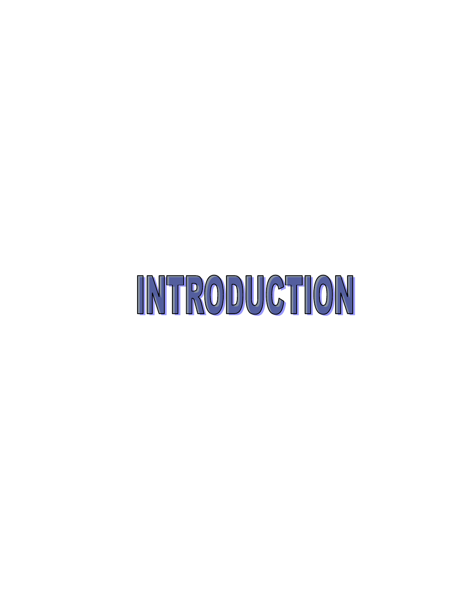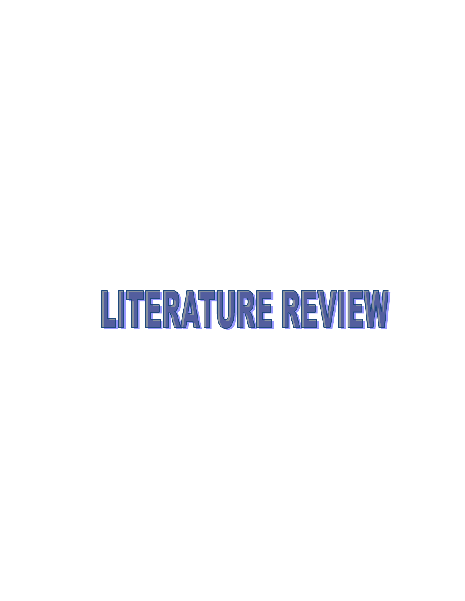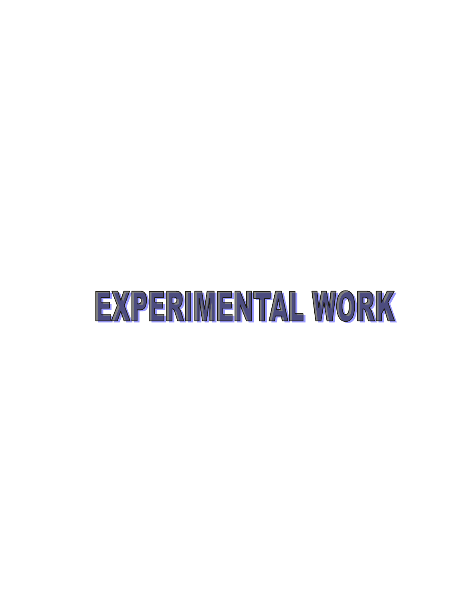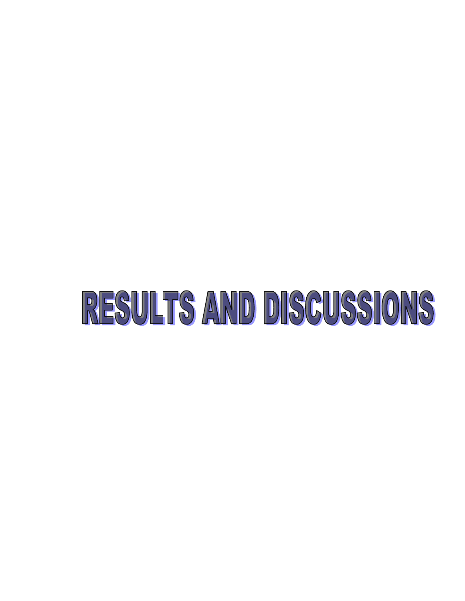# RESULTS AND DISCUSSIONS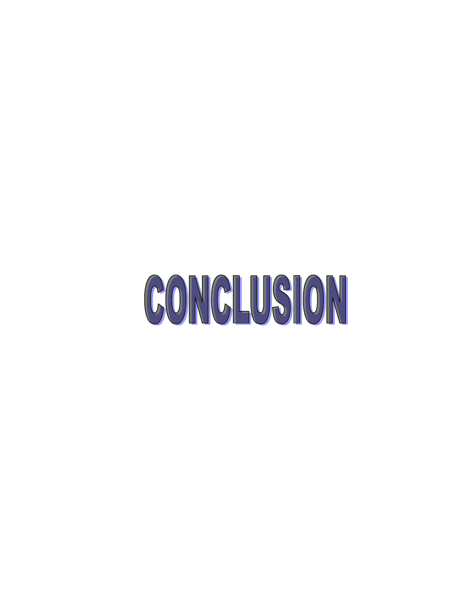